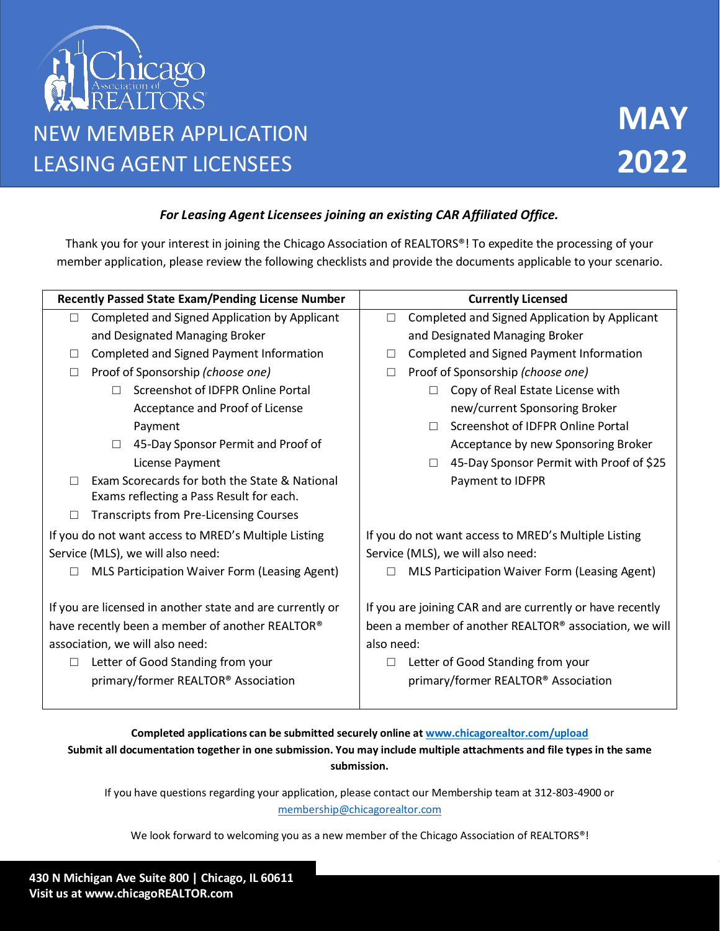

## *For Leasing Agent Licensees joining an existing CAR Affiliated Office.*

Thank you for your interest in joining the Chicago Association of REALTORS®! To expedite the processing of your member application, please review the following checklists and provide the documents applicable to your scenario.

| <b>Recently Passed State Exam/Pending License Number</b>                                  | <b>Currently Licensed</b>                                 |  |  |
|-------------------------------------------------------------------------------------------|-----------------------------------------------------------|--|--|
| Completed and Signed Application by Applicant                                             | Completed and Signed Application by Applicant<br>$\Box$   |  |  |
| and Designated Managing Broker                                                            | and Designated Managing Broker                            |  |  |
| Completed and Signed Payment Information                                                  | Completed and Signed Payment Information                  |  |  |
| Proof of Sponsorship (choose one)                                                         | Proof of Sponsorship (choose one)                         |  |  |
| Screenshot of IDFPR Online Portal                                                         | Copy of Real Estate License with                          |  |  |
| Acceptance and Proof of License                                                           | new/current Sponsoring Broker                             |  |  |
| Payment                                                                                   | Screenshot of IDFPR Online Portal<br>$\Box$               |  |  |
| 45-Day Sponsor Permit and Proof of<br>$\Box$                                              | Acceptance by new Sponsoring Broker                       |  |  |
| License Payment                                                                           | 45-Day Sponsor Permit with Proof of \$25<br>□             |  |  |
| Exam Scorecards for both the State & National<br>Exams reflecting a Pass Result for each. | Payment to IDFPR                                          |  |  |
| <b>Transcripts from Pre-Licensing Courses</b>                                             |                                                           |  |  |
| If you do not want access to MRED's Multiple Listing                                      | If you do not want access to MRED's Multiple Listing      |  |  |
| Service (MLS), we will also need:                                                         | Service (MLS), we will also need:                         |  |  |
| MLS Participation Waiver Form (Leasing Agent)                                             | MLS Participation Waiver Form (Leasing Agent)             |  |  |
| If you are licensed in another state and are currently or                                 | If you are joining CAR and are currently or have recently |  |  |
| have recently been a member of another REALTOR®                                           | been a member of another REALTOR® association, we will    |  |  |
| association, we will also need:                                                           | also need:                                                |  |  |
| Letter of Good Standing from your                                                         | Letter of Good Standing from your                         |  |  |
| primary/former REALTOR® Association                                                       | primary/former REALTOR® Association                       |  |  |
|                                                                                           |                                                           |  |  |

# **Completed applications can be submitted securely online at [www.chicagorealtor.com/upload](http://www.chicagorealtor.com/upload)  Submit all documentation together in one submission. You may include multiple attachments and file types in the same submission.**

If you have questions regarding your application, please contact our Membership team at 312-803-4900 or [membership@chicagorealtor.com](mailto:membership@chicagorealtor.com) 

We look forward to welcoming you as a new member of the Chicago Association of REALTORS®!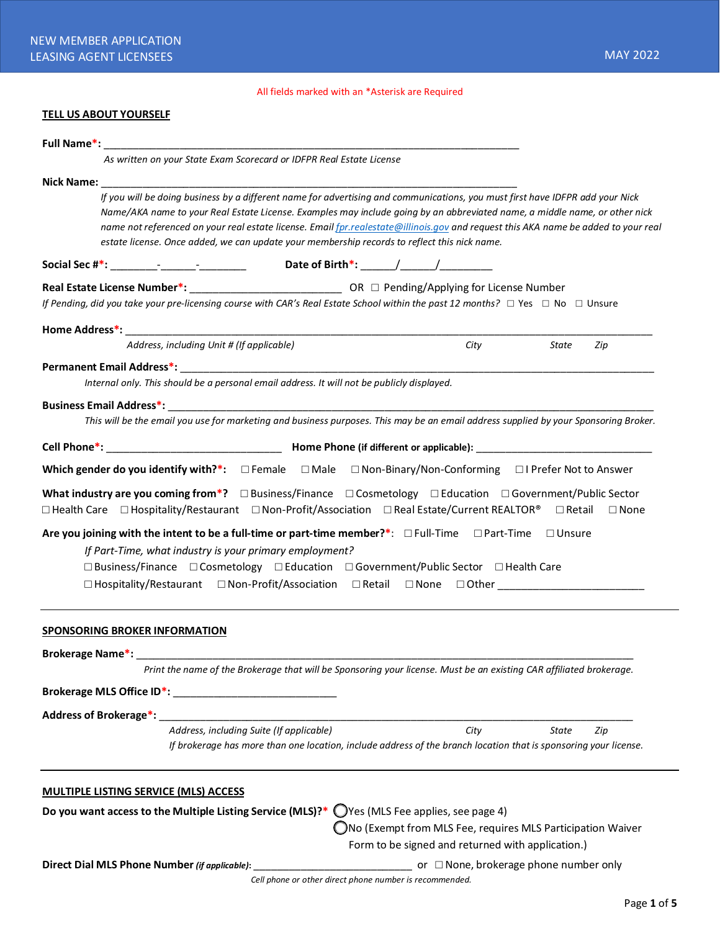## All fields marked with an \*Asterisk are Required

## **TELL US ABOUT YOURSELF**

|                         | <b>Full Name*:</b> The contract of the contract of the contract of the contract of the contract of the contract of the contract of the contract of the contract of the contract of the contract of the contract of the contract of                                                                                                                                                                                                                                                                |                                          |  |  |                                                   |                                                                                                                                                |  |
|-------------------------|---------------------------------------------------------------------------------------------------------------------------------------------------------------------------------------------------------------------------------------------------------------------------------------------------------------------------------------------------------------------------------------------------------------------------------------------------------------------------------------------------|------------------------------------------|--|--|---------------------------------------------------|------------------------------------------------------------------------------------------------------------------------------------------------|--|
|                         | As written on your State Exam Scorecard or IDFPR Real Estate License                                                                                                                                                                                                                                                                                                                                                                                                                              |                                          |  |  |                                                   |                                                                                                                                                |  |
| Nick Name: Nick Name    |                                                                                                                                                                                                                                                                                                                                                                                                                                                                                                   |                                          |  |  |                                                   |                                                                                                                                                |  |
|                         | If you will be doing business by a different name for advertising and communications, you must first have IDFPR add your Nick<br>Name/AKA name to your Real Estate License. Examples may include going by an abbreviated name, a middle name, or other nick<br>name not referenced on your real estate license. Email fpr.realestate@illinois.gov and request this AKA name be added to your real<br>estate license. Once added, we can update your membership records to reflect this nick name. |                                          |  |  |                                                   |                                                                                                                                                |  |
|                         |                                                                                                                                                                                                                                                                                                                                                                                                                                                                                                   |                                          |  |  |                                                   |                                                                                                                                                |  |
|                         | Real Estate License Number*: Capacity on the CR □ Pending/Applying for License Number<br>If Pending, did you take your pre-licensing course with CAR's Real Estate School within the past 12 months? $\Box$ Yes $\Box$ No $\Box$ Unsure                                                                                                                                                                                                                                                           |                                          |  |  |                                                   |                                                                                                                                                |  |
|                         |                                                                                                                                                                                                                                                                                                                                                                                                                                                                                                   |                                          |  |  |                                                   |                                                                                                                                                |  |
|                         | Address, including Unit # (If applicable)                                                                                                                                                                                                                                                                                                                                                                                                                                                         |                                          |  |  | City                                              | State<br>Zip                                                                                                                                   |  |
|                         |                                                                                                                                                                                                                                                                                                                                                                                                                                                                                                   |                                          |  |  |                                                   |                                                                                                                                                |  |
|                         | Internal only. This should be a personal email address. It will not be publicly displayed.                                                                                                                                                                                                                                                                                                                                                                                                        |                                          |  |  |                                                   |                                                                                                                                                |  |
|                         |                                                                                                                                                                                                                                                                                                                                                                                                                                                                                                   |                                          |  |  |                                                   | This will be the email you use for marketing and business purposes. This may be an email address supplied by your Sponsoring Broker.           |  |
|                         |                                                                                                                                                                                                                                                                                                                                                                                                                                                                                                   |                                          |  |  |                                                   |                                                                                                                                                |  |
|                         |                                                                                                                                                                                                                                                                                                                                                                                                                                                                                                   |                                          |  |  |                                                   |                                                                                                                                                |  |
|                         | Which gender do you identify with?*: $\Box$ Female $\Box$ Male $\Box$ Non-Binary/Non-Conforming $\Box$ I Prefer Not to Answer                                                                                                                                                                                                                                                                                                                                                                     |                                          |  |  |                                                   |                                                                                                                                                |  |
|                         | □ Health Care □ Hospitality/Restaurant □ Non-Profit/Association □ Real Estate/Current REALTOR® □ Retail<br>Are you joining with the intent to be a full-time or part-time member?*: $\Box$ Full-Time $\Box$ Part-Time $\Box$ Unsure                                                                                                                                                                                                                                                               |                                          |  |  |                                                   | What industry are you coming from*? $\Box$ Business/Finance $\Box$ Cosmetology $\Box$ Education $\Box$ Government/Public Sector<br>$\Box$ None |  |
|                         | If Part-Time, what industry is your primary employment?                                                                                                                                                                                                                                                                                                                                                                                                                                           |                                          |  |  |                                                   |                                                                                                                                                |  |
|                         | $\Box$ Business/Finance $\Box$ Cosmetology $\Box$ Education $\Box$ Government/Public Sector $\Box$ Health Care                                                                                                                                                                                                                                                                                                                                                                                    |                                          |  |  |                                                   |                                                                                                                                                |  |
|                         | □ Hospitality/Restaurant  □ Non-Profit/Association  □ Retail  □ None  □ Other                                                                                                                                                                                                                                                                                                                                                                                                                     |                                          |  |  |                                                   |                                                                                                                                                |  |
|                         | <b>SPONSORING BROKER INFORMATION</b>                                                                                                                                                                                                                                                                                                                                                                                                                                                              |                                          |  |  |                                                   |                                                                                                                                                |  |
| <b>Brokerage Name*:</b> |                                                                                                                                                                                                                                                                                                                                                                                                                                                                                                   |                                          |  |  |                                                   |                                                                                                                                                |  |
|                         |                                                                                                                                                                                                                                                                                                                                                                                                                                                                                                   |                                          |  |  |                                                   | Print the name of the Brokerage that will be Sponsoring your license. Must be an existing CAR affiliated brokerage.                            |  |
|                         |                                                                                                                                                                                                                                                                                                                                                                                                                                                                                                   |                                          |  |  |                                                   |                                                                                                                                                |  |
|                         | Address of Brokerage*:                                                                                                                                                                                                                                                                                                                                                                                                                                                                            |                                          |  |  |                                                   |                                                                                                                                                |  |
|                         |                                                                                                                                                                                                                                                                                                                                                                                                                                                                                                   | Address, including Suite (If applicable) |  |  | City                                              | State<br>Zip<br>If brokerage has more than one location, include address of the branch location that is sponsoring your license.               |  |
|                         |                                                                                                                                                                                                                                                                                                                                                                                                                                                                                                   |                                          |  |  |                                                   |                                                                                                                                                |  |
|                         |                                                                                                                                                                                                                                                                                                                                                                                                                                                                                                   |                                          |  |  |                                                   |                                                                                                                                                |  |
|                         | <b>MULTIPLE LISTING SERVICE (MLS) ACCESS</b>                                                                                                                                                                                                                                                                                                                                                                                                                                                      |                                          |  |  |                                                   |                                                                                                                                                |  |
|                         | Do you want access to the Multiple Listing Service (MLS)?* $\bigcirc$ Yes (MLS Fee applies, see page 4)                                                                                                                                                                                                                                                                                                                                                                                           |                                          |  |  |                                                   | ◯No (Exempt from MLS Fee, requires MLS Participation Waiver                                                                                    |  |
|                         | Direct Dial MLS Phone Number (if applicable):                                                                                                                                                                                                                                                                                                                                                                                                                                                     |                                          |  |  | Form to be signed and returned with application.) | or $\Box$ None, brokerage phone number only                                                                                                    |  |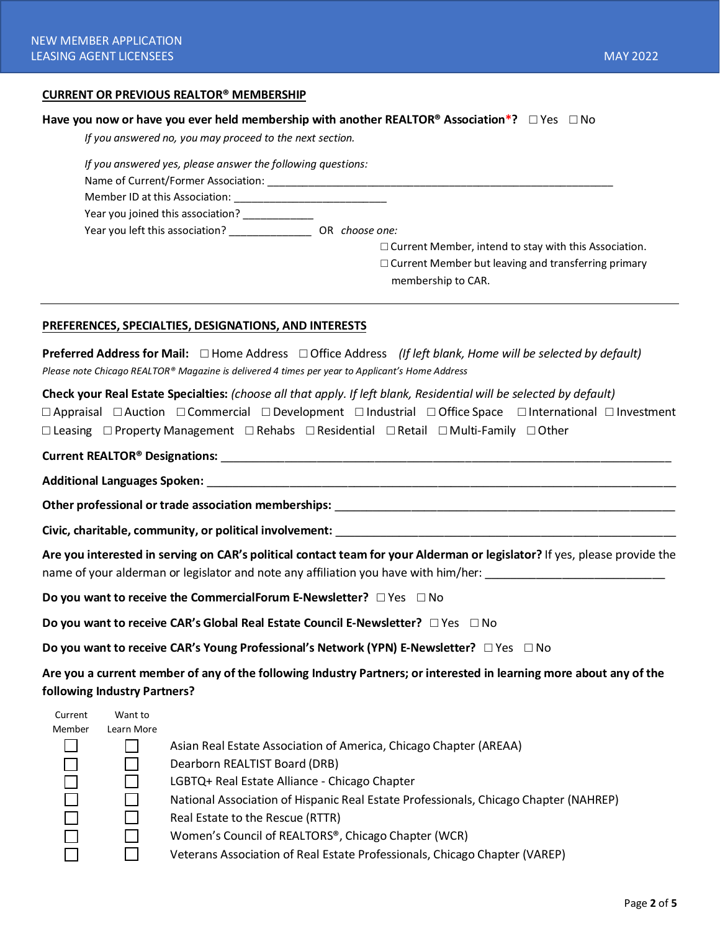#### **CURRENT OR PREVIOUS REALTOR® MEMBERSHIP**

#### **Have you now or have you ever held membership with another REALTOR® Association\*?** □ Yes □ No

*If you answered no, you may proceed to the next section.*

| If you answered yes, please answer the following questions: |                                                              |
|-------------------------------------------------------------|--------------------------------------------------------------|
| Name of Current/Former Association:                         |                                                              |
| Member ID at this Association:                              |                                                              |
| Year you joined this association?                           |                                                              |
| Year you left this association?                             | OR choose one:                                               |
|                                                             | $\Box$ Current Member, intend to stay with this Association. |
|                                                             | $\Box$ Current Member but leaving and transferring primary   |
|                                                             | membership to CAR.                                           |

#### **PREFERENCES, SPECIALTIES, DESIGNATIONS, AND INTERESTS**

**Preferred Address for Mail:** □ Home Address □ Office Address *(If left blank, Home will be selected by default) Please note Chicago REALTOR® Magazine is delivered 4 times per year to Applicant's Home Address*

**Check your Real Estate Specialties:** *(choose all that apply. If left blank, Residential will be selected by default)*

□ Appraisal □ Auction □ Commercial □ Development □ Industrial □ Office Space □ International □ Investment □ Leasing □ Property Management □ Rehabs □ Residential □ Retail □ Multi-Family □ Other

#### **Current REALTOR® Designations:** \_\_\_\_\_\_\_\_\_\_\_\_\_\_\_\_\_\_\_\_\_\_\_\_\_\_\_\_\_\_\_\_\_\_\_\_\_\_\_\_\_\_\_\_\_\_\_\_\_\_\_\_\_\_\_\_\_\_\_\_\_\_\_\_\_\_\_\_\_\_

**Additional Languages Spoken:** \_\_\_\_\_\_\_\_\_\_\_\_\_\_\_\_\_\_\_\_\_\_\_\_\_\_\_\_\_\_\_\_\_\_\_\_\_\_\_\_\_\_\_\_\_\_\_\_\_\_\_\_\_\_\_\_\_\_\_\_\_\_\_\_\_\_\_\_\_\_\_\_\_

**Other professional or trade association memberships:**  $\blacksquare$ 

**Civic, charitable, community, or political involvement:** \_\_\_\_\_\_\_\_\_\_\_\_\_\_\_\_\_\_\_\_\_\_\_\_\_\_\_\_\_\_\_\_\_\_\_\_\_\_\_\_\_\_\_\_\_\_\_\_\_\_\_\_\_

**Are you interested in serving on CAR's political contact team for your Alderman or legislator?** If yes, please provide the name of your alderman or legislator and note any affiliation you have with him/her: \_\_\_\_\_\_\_\_\_\_\_\_\_\_\_\_\_\_\_\_\_\_\_\_\_\_

**Do you want to receive the CommercialForum E-Newsletter?** □ Yes □ No

**Do you want to receive CAR's Global Real Estate Council E-Newsletter?** □ Yes □ No

**Do you want to receive CAR's Young Professional's Network (YPN) E-Newsletter?** □ Yes □ No

**Are you a current member of any of the following Industry Partners; or interested in learning more about any of the following Industry Partners?** 

| Current | Want to    |                                                                                      |
|---------|------------|--------------------------------------------------------------------------------------|
| Member  | Learn More |                                                                                      |
|         |            | Asian Real Estate Association of America, Chicago Chapter (AREAA)                    |
|         |            | Dearborn REALTIST Board (DRB)                                                        |
|         |            | LGBTQ+ Real Estate Alliance - Chicago Chapter                                        |
|         |            | National Association of Hispanic Real Estate Professionals, Chicago Chapter (NAHREP) |
|         |            | Real Estate to the Rescue (RTTR)                                                     |
|         |            | Women's Council of REALTORS®, Chicago Chapter (WCR)                                  |
|         |            | Veterans Association of Real Estate Professionals, Chicago Chapter (VAREP)           |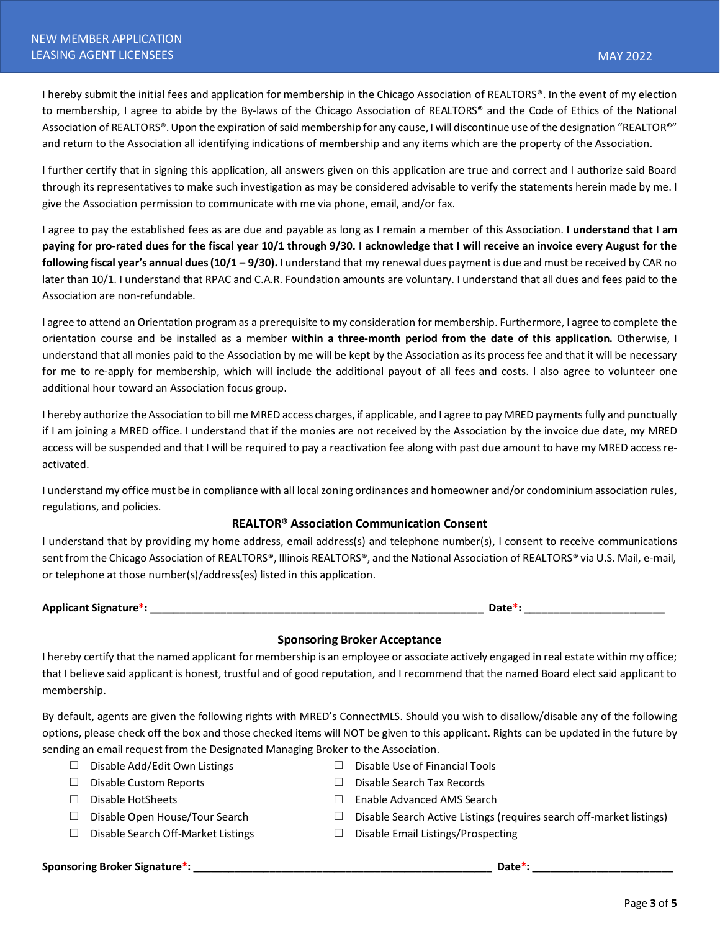I hereby submit the initial fees and application for membership in the Chicago Association of REALTORS®. In the event of my election to membership, I agree to abide by the By-laws of the Chicago Association of REALTORS® and the Code of Ethics of the National Association of REALTORS®. Upon the expiration of said membership for any cause, I will discontinue use of the designation "REALTOR®" and return to the Association all identifying indications of membership and any items which are the property of the Association.

I further certify that in signing this application, all answers given on this application are true and correct and I authorize said Board through its representatives to make such investigation as may be considered advisable to verify the statements herein made by me. I give the Association permission to communicate with me via phone, email, and/or fax.

I agree to pay the established fees as are due and payable as long as I remain a member of this Association. **I understand that I am paying for pro-rated dues for the fiscal year 10/1 through 9/30. I acknowledge that I will receive an invoice every August for the following fiscal year's annual dues(10/1 – 9/30).** I understand that my renewal dues payment is due and must be received by CAR no later than 10/1. I understand that RPAC and C.A.R. Foundation amounts are voluntary. I understand that all dues and fees paid to the Association are non-refundable.

I agree to attend an Orientation program as a prerequisite to my consideration for membership. Furthermore, I agree to complete the orientation course and be installed as a member **within a three-month period from the date of this application.** Otherwise, I understand that all monies paid to the Association by me will be kept by the Association as its process fee and that it will be necessary for me to re-apply for membership, which will include the additional payout of all fees and costs. I also agree to volunteer one additional hour toward an Association focus group.

I hereby authorize the Association to bill me MRED access charges, if applicable, and I agree to pay MRED payments fully and punctually if I am joining a MRED office. I understand that if the monies are not received by the Association by the invoice due date, my MRED access will be suspended and that I will be required to pay a reactivation fee along with past due amount to have my MRED access reactivated.

I understand my office must be in compliance with all local zoning ordinances and homeowner and/or condominium association rules, regulations, and policies.

## **REALTOR® Association Communication Consent**

I understand that by providing my home address, email address(s) and telephone number(s), I consent to receive communications sent from the Chicago Association of REALTORS®, Illinois REALTORS®, and the National Association of REALTORS® via U.S. Mail, e-mail, or telephone at those number(s)/address(es) listed in this application.

**Applicant Signature\*: \_\_\_\_\_\_\_\_\_\_\_\_\_\_\_\_\_\_\_\_\_\_\_\_\_\_\_\_\_\_\_\_\_\_\_\_\_\_\_\_\_\_\_\_\_\_\_\_\_\_\_\_\_\_\_\_\_ Date\*: \_\_\_\_\_\_\_\_\_\_\_\_\_\_\_\_\_\_\_\_\_\_\_\_**

## **Sponsoring Broker Acceptance**

I hereby certify that the named applicant for membership is an employee or associate actively engaged in real estate within my office; that I believe said applicant is honest, trustful and of good reputation, and I recommend that the named Board elect said applicant to membership.

By default, agents are given the following rights with MRED's ConnectMLS. Should you wish to disallow/disable any of the following options, please check off the box and those checked items will NOT be given to this applicant. Rights can be updated in the future by sending an email request from the Designated Managing Broker to the Association.

- □ Disable Add/Edit Own Listings  $□$  Disable Use of Financial Tools
- 
- 
- 
- □ Disable Search Off-Market Listings □ Disable Email Listings/Prospecting
- 
- □ Disable Custom Reports □ Disable Search Tax Records
- □ Disable HotSheets □ Enable Advanced AMS Search
- □ Disable Open House/Tour Search □ Disable Search Active Listings (requires search off-market listings)
	-

**Sponsoring Broker Signature\*: \_\_\_\_\_\_\_\_\_\_\_\_\_\_\_\_\_\_\_\_\_\_\_\_\_\_\_\_\_\_\_\_\_\_\_\_\_\_\_\_\_\_\_\_\_\_\_\_\_\_\_ Date\*: \_\_\_\_\_\_\_\_\_\_\_\_\_\_\_\_\_\_\_\_\_\_\_\_**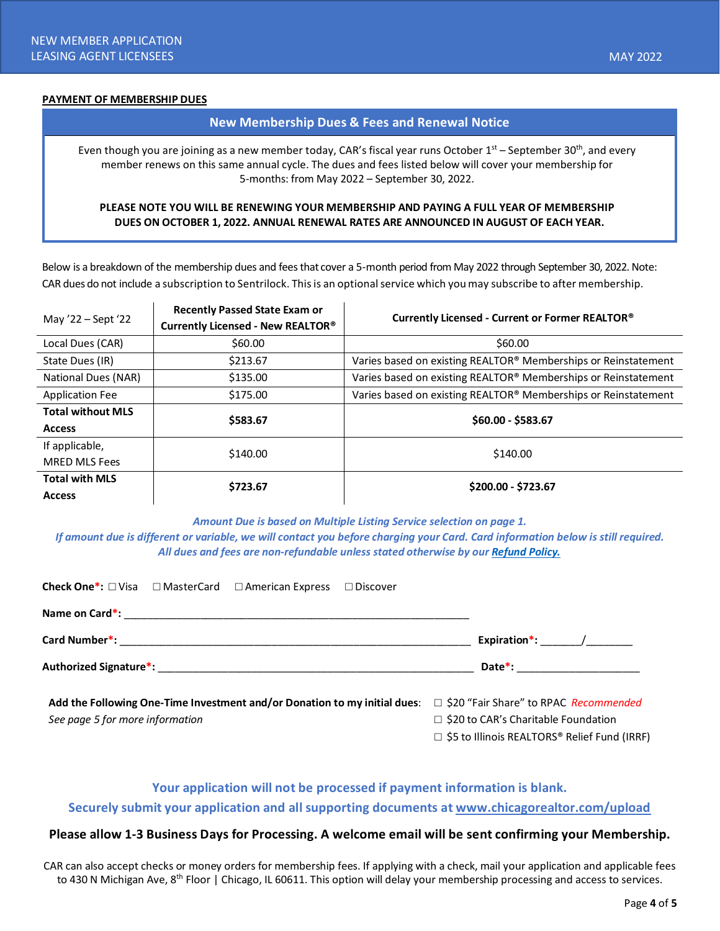#### **PAYMENT OF MEMBERSHIP DUES**

#### **New Membership Dues & Fees and Renewal Notice**

Even though you are joining as a new member today, CAR's fiscal year runs October 1<sup>st</sup> – September 30<sup>th</sup>, and every member renews on this same annual cycle. The dues and fees listed below will cover your membership for 5-months: from May 2022 – September 30, 2022.

#### **PLEASE NOTE YOU WILL BE RENEWING YOUR MEMBERSHIP AND PAYING A FULL YEAR OF MEMBERSHIP DUES ON OCTOBER 1, 2022. ANNUAL RENEWAL RATES ARE ANNOUNCED IN AUGUST OF EACH YEAR.**

Below is a breakdown of the membership dues and fees that cover a 5-month period from May 2022 through September 30, 2022. Note: CAR dues do not include a subscription to Sentrilock. This is an optional service which you may subscribe to after membership.

| May '22 – Sept '22       | <b>Recently Passed State Exam or</b> | Currently Licensed - Current or Former REALTOR®                |  |
|--------------------------|--------------------------------------|----------------------------------------------------------------|--|
|                          | Currently Licensed - New REALTOR®    |                                                                |  |
| Local Dues (CAR)         | \$60.00                              | \$60.00                                                        |  |
| State Dues (IR)          | \$213.67                             | Varies based on existing REALTOR® Memberships or Reinstatement |  |
| National Dues (NAR)      | \$135.00                             | Varies based on existing REALTOR® Memberships or Reinstatement |  |
| <b>Application Fee</b>   | \$175.00                             | Varies based on existing REALTOR® Memberships or Reinstatement |  |
| <b>Total without MLS</b> | \$583.67                             | \$60.00 - \$583.67                                             |  |
| <b>Access</b>            |                                      |                                                                |  |
| If applicable,           | \$140.00                             | \$140.00                                                       |  |
| <b>MRED MLS Fees</b>     |                                      |                                                                |  |
| <b>Total with MLS</b>    | \$723.67                             | \$200.00 - \$723.67                                            |  |
| <b>Access</b>            |                                      |                                                                |  |

*Amount Due is based on Multiple Listing Service selection on page 1.*

*If amount due is different or variable, we will contact you before charging your Card. Card information below is still required. All dues and fees are non-refundable unless stated otherwise by ou[r Refund Policy.](https://chicagorealtor.com/membership/membership-faqs/)*

| <b>Check One*:</b> □ Visa □ MasterCard □ American Express □ Discover                                         |                                                                                                                                              |
|--------------------------------------------------------------------------------------------------------------|----------------------------------------------------------------------------------------------------------------------------------------------|
|                                                                                                              |                                                                                                                                              |
|                                                                                                              | Expiration <sup>*</sup> : /                                                                                                                  |
|                                                                                                              | Date*: _________________________                                                                                                             |
| Add the Following One-Time Investment and/or Donation to my initial dues:<br>See page 5 for more information | $\Box$ \$20 "Fair Share" to RPAC Recommended<br>$\Box$ \$20 to CAR's Charitable Foundation<br>□ \$5 to Illinois REALTORS® Relief Fund (IRRF) |

# **Your application will not be processed if payment information is blank. Securely submit your application and all supporting documents at [www.chicagorealtor.com/upload](http://www.chicagorealtor.com/upload)**

# **Please allow 1-3 Business Days for Processing. A welcome email will be sent confirming your Membership.**

CAR can also accept checks or money orders for membership fees. If applying with a check, mail your application and applicable fees to 430 N Michigan Ave, 8<sup>th</sup> Floor | Chicago, IL 60611. This option will delay your membership processing and access to services.